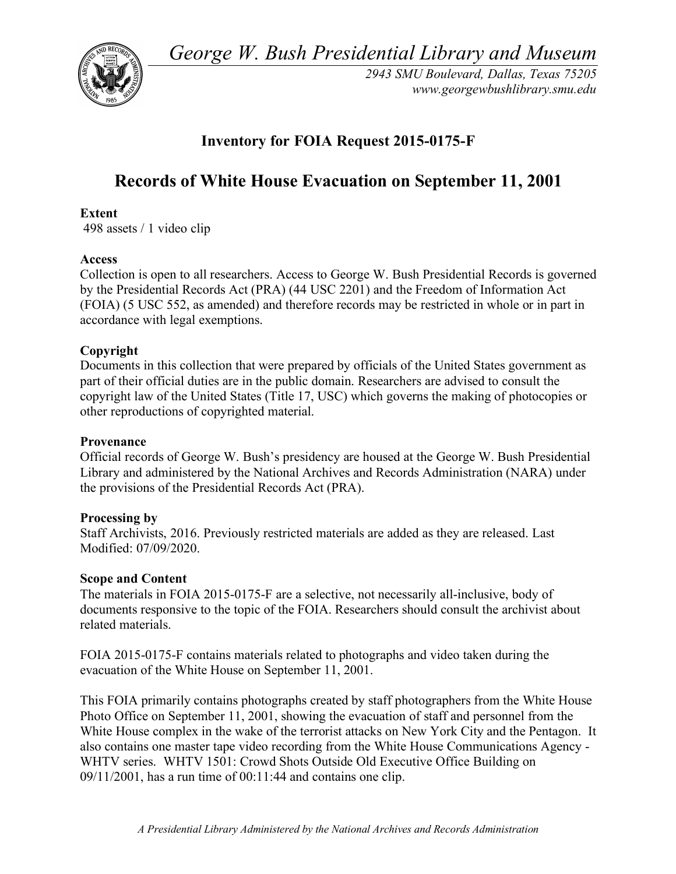*George W. Bush Presidential Library and Museum* 



*2943 SMU Boulevard, Dallas, Texas 75205 <www.georgewbushlibrary.smu.edu>* 

# **Inventory for FOIA Request 2015-0175-F**

# **Records of White House Evacuation on September 11, 2001**

# **Extent**

498 assets / 1 video clip

#### **Access**

 Collection is open to all researchers. Access to George W. Bush Presidential Records is governed by the Presidential Records Act (PRA) (44 USC 2201) and the Freedom of Information Act (FOIA) (5 USC 552, as amended) and therefore records may be restricted in whole or in part in accordance with legal exemptions.

## **Copyright**

 Documents in this collection that were prepared by officials of the United States government as part of their official duties are in the public domain. Researchers are advised to consult the copyright law of the United States (Title 17, USC) which governs the making of photocopies or other reproductions of copyrighted material.

#### **Provenance**

 Official records of George W. Bush's presidency are housed at the George W. Bush Presidential Library and administered by the National Archives and Records Administration (NARA) under the provisions of the Presidential Records Act (PRA).

#### **Processing by**

 Staff Archivists, 2016. Previously restricted materials are added as they are released. Last Modified: 07/09/2020.

#### **Scope and Content**

 The materials in FOIA 2015-0175-F are a selective, not necessarily all-inclusive, body of documents responsive to the topic of the FOIA. Researchers should consult the archivist about related materials.

 FOIA 2015-0175-F contains materials related to photographs and video taken during the evacuation of the White House on September 11, 2001.

 This FOIA primarily contains photographs created by staff photographers from the White House Photo Office on September 11, 2001, showing the evacuation of staff and personnel from the White House complex in the wake of the terrorist attacks on New York City and the Pentagon. It also contains one master tape video recording from the White House Communications Agency - WHTV series. WHTV 1501: Crowd Shots Outside Old Executive Office Building on 09/11/2001, has a run time of 00:11:44 and contains one clip.